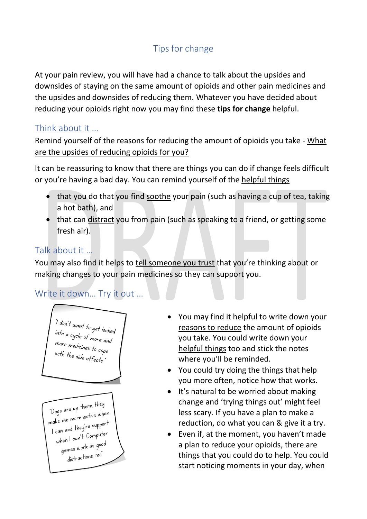## Tips for change

At your pain review, you will have had a chance to talk about the upsides and downsides of staying on the same amount of opioids and other pain medicines and the upsides and downsides of reducing them. Whatever you have decided about reducing your opioids right now you may find these **tips for change** helpful.

### Think about it …

Remind yourself of the reasons for reducing the amount of opioids you take - What are the upsides of reducing opioids for you?

It can be reassuring to know that there are things you can do if change feels difficult or you're having a bad day. You can remind yourself of the helpful things

- that you do that you find soothe your pain (such as having a cup of tea, taking a hot bath), and
- that can distract you from pain (such as speaking to a friend, or getting some fresh air).

### Talk about it …

You may also find it helps to tell someone you trust that you're thinking about or making changes to your pain medicines so they can support you.

## Write it down… Try it out …

"| don't want to get locked<br>into a cycle of more and<br>more medicines to cope<br>with the side effects."

"Dogs are up there, they<br>active whe "Dogs are up mentive when<br>make me more active when make me more as ...<br>I can and they're support<br>I Computer can and they<br>when I can't Computer hen I can ...<br>games work as good  $\frac{1}{\text{distraction}}$  too"

- You may find it helpful to write down your reasons to reduce the amount of opioids you take. You could write down your helpful things too and stick the notes where you'll be reminded.
- You could try doing the things that help you more often, notice how that works.
- It's natural to be worried about making change and 'trying things out' might feel less scary. If you have a plan to make a reduction, do what you can & give it a try.
- Even if, at the moment, you haven't made a plan to reduce your opioids, there are things that you could do to help. You could start noticing moments in your day, when